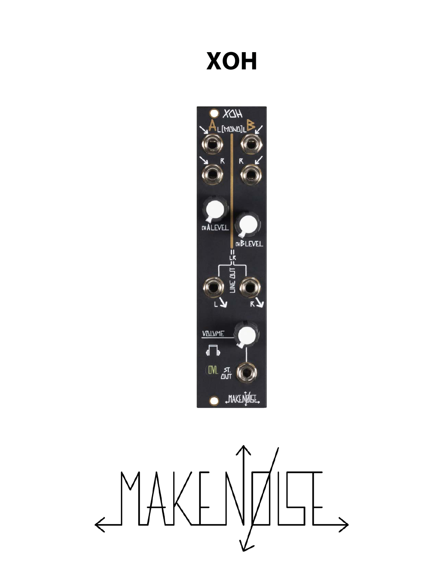# **XOH**



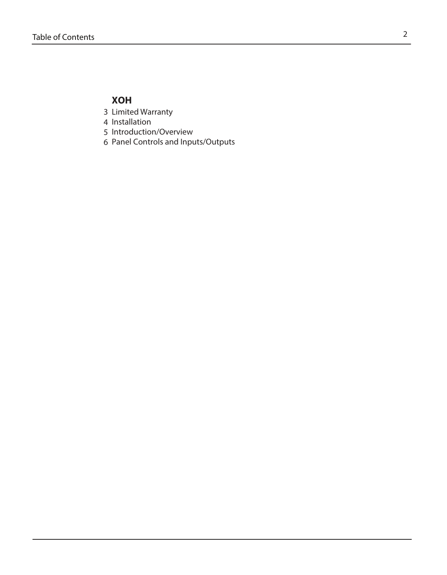# **XOH**

- Limited Warranty 3
- 4 Installation
- 5 Introduction/Overview
- Panel Controls and Inputs/Outputs 6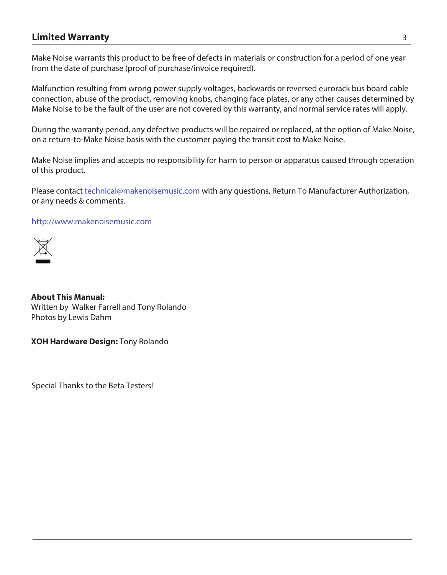## **Limited Warranty** 3

Make Noise warrants this product to be free of defects in materials or construction for a period of one year from the date of purchase (proof of purchase/invoice required).

Malfunction resulting from wrong power supply voltages, backwards or reversed eurorack bus board cable connection, abuse of the product, removing knobs, changing face plates, or any other causes determined by Make Noise to be the fault of the user are not covered by this warranty, and normal service rates will apply.

During the warranty period, any defective products will be repaired or replaced, at the option of Make Noise, on a return-to-Make Noise basis with the customer paying the transit cost to Make Noise.

Make Noise implies and accepts no responsibility for harm to person or apparatus caused through operation of this product.

Please contact technical@makenoisemusic.com with any questions, Return To Manufacturer Authorization, or any needs & comments.

#### http://www.makenoisemusic.com



**About This Manual:** Written by Walker Farrell and Tony Rolando Photos by Lewis Dahm

**XOH Hardware Design:** Tony Rolando

Special Thanks to the Beta Testers!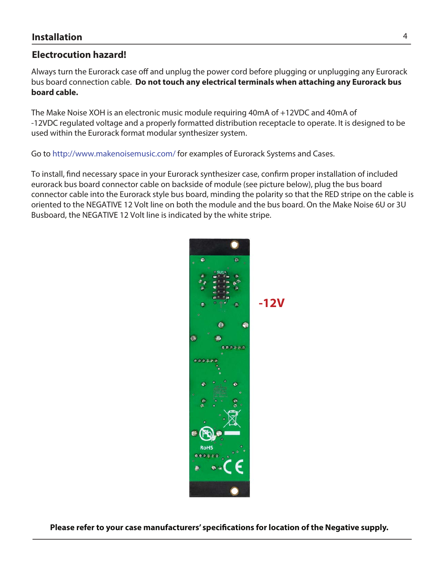# **Electrocution hazard!**

Always turn the Eurorack case off and unplug the power cord before plugging or unplugging any Eurorack bus board connection cable. **Do not touch any electrical terminals when attaching any Eurorack bus board cable.** 

The Make Noise XOH is an electronic music module requiring 40mA of +12VDC and 40mA of -12VDC regulated voltage and a properly formatted distribution receptacle to operate. It is designed to be used within the Eurorack format modular synthesizer system.

Go to http://www.makenoisemusic.com/ for examples of Eurorack Systems and Cases.

To install, fnd necessary space in your Eurorack synthesizer case, confrm proper installation of included eurorack bus board connector cable on backside of module (see picture below), plug the bus board connector cable into the Eurorack style bus board, minding the polarity so that the RED stripe on the cable is oriented to the NEGATIVE 12 Volt line on both the module and the bus board. On the Make Noise 6U or 3U Busboard, the NEGATIVE 12 Volt line is indicated by the white stripe.



**Please refer to your case manufacturers' specifcations for location of the Negative supply.**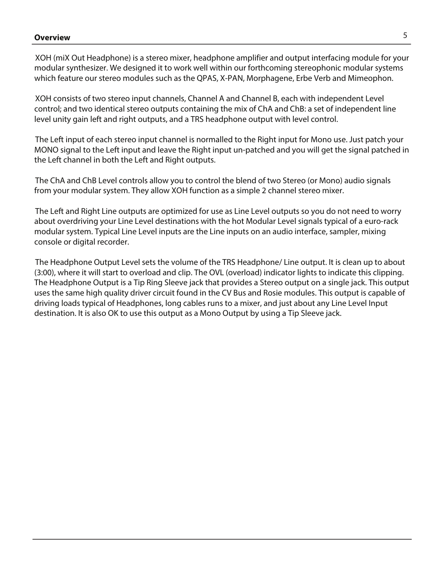### **Overview** 5

XOH (miX Out Headphone) is a stereo mixer, headphone amplifier and output interfacing module for your modular synthesizer. We designed it to work well within our forthcoming stereophonic modular systems which feature our stereo modules such as the QPAS, X-PAN, Morphagene, Erbe Verb and Mimeophon.

XOH consists of two stereo input channels, Channel A and Channel B, each with independent Level control; and two identical stereo outputs containing the mix of ChA and ChB: a set of independent line level unity gain left and right outputs, and a TRS headphone output with level control.

The Left input of each stereo input channel is normalled to the Right input for Mono use. Just patch your MONO signal to the Left input and leave the Right input un-patched and you will get the signal patched in the Left channel in both the Left and Right outputs.

The ChA and ChB Level controls allow you to control the blend of two Stereo (or Mono) audio signals from your modular system. They allow XOH function as a simple 2 channel stereo mixer.

The Left and Right Line outputs are optimized for use as Line Level outputs so you do not need to worry about overdriving your Line Level destinations with the hot Modular Level signals typical of a euro-rack modular system. Typical Line Level inputs are the Line inputs on an audio interface, sampler, mixing console or digital recorder.

The Headphone Output Level sets the volume of the TRS Headphone/ Line output. It is clean up to about (3:00), where it will start to overload and clip. The OVL (overload) indicator lights to indicate this clipping. The Headphone Output is a Tip Ring Sleeve jack that provides a Stereo output on a single jack. This output uses the same high quality driver circuit found in the CV Bus and Rosie modules. This output is capable of driving loads typical of Headphones, long cables runs to a mixer, and just about any Line Level Input destination. It is also OK to use this output as a Mono Output by using a Tip Sleeve jack.